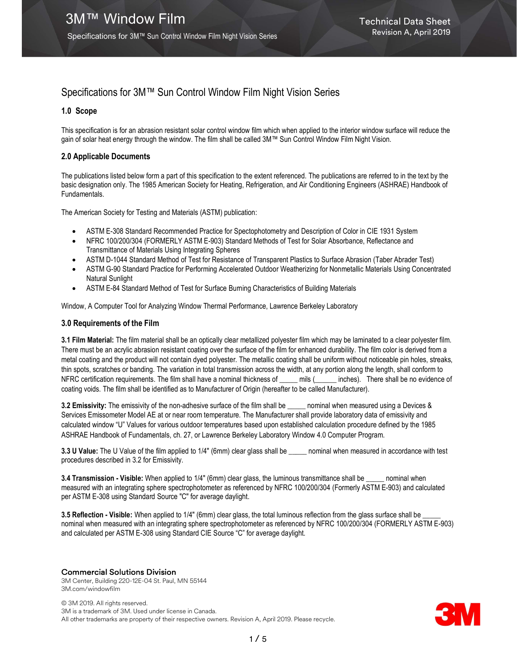## Specifications for 3M™ Sun Control Window Film Night Vision Series

#### 1.0 Scope

This specification is for an abrasion resistant solar control window film which when applied to the interior window surface will reduce the gain of solar heat energy through the window. The film shall be called 3M™ Sun Control Window Film Night Vision.

#### 2.0 Applicable Documents

The publications listed below form a part of this specification to the extent referenced. The publications are referred to in the text by the basic designation only. The 1985 American Society for Heating, Refrigeration, and Air Conditioning Engineers (ASHRAE) Handbook of Fundamentals.

The American Society for Testing and Materials (ASTM) publication:

- ASTM E-308 Standard Recommended Practice for Spectophotometry and Description of Color in CIE 1931 System
- NFRC 100/200/304 (FORMERLY ASTM E-903) Standard Methods of Test for Solar Absorbance, Reflectance and Transmittance of Materials Using Integrating Spheres
- ASTM D-1044 Standard Method of Test for Resistance of Transparent Plastics to Surface Abrasion (Taber Abrader Test)
- ASTM G-90 Standard Practice for Performing Accelerated Outdoor Weatherizing for Nonmetallic Materials Using Concentrated Natural Sunlight
- ASTM E-84 Standard Method of Test for Surface Burning Characteristics of Building Materials

Window, A Computer Tool for Analyzing Window Thermal Performance, Lawrence Berkeley Laboratory

#### 3.0 Requirements of the Film

3.1 Film Material: The film material shall be an optically clear metallized polyester film which may be laminated to a clear polyester film. There must be an acrylic abrasion resistant coating over the surface of the film for enhanced durability. The film color is derived from a metal coating and the product will not contain dyed polyester. The metallic coating shall be uniform without noticeable pin holes, streaks, thin spots, scratches or banding. The variation in total transmission across the width, at any portion along the length, shall conform to NFRC certification requirements. The film shall have a nominal thickness of \_\_\_\_\_ mils (\_\_\_\_\_\_ inches). There shall be no evidence of coating voids. The film shall be identified as to Manufacturer of Origin (hereafter to be called Manufacturer).

3.2 Emissivity: The emissivity of the non-adhesive surface of the film shall be \_\_\_\_\_ nominal when measured using a Devices & Services Emissometer Model AE at or near room temperature. The Manufacturer shall provide laboratory data of emissivity and calculated window "U" Values for various outdoor temperatures based upon established calculation procedure defined by the 1985 ASHRAE Handbook of Fundamentals, ch. 27, or Lawrence Berkeley Laboratory Window 4.0 Computer Program.

3.3 U Value: The U Value of the film applied to 1/4" (6mm) clear glass shall be \_\_\_\_\_ nominal when measured in accordance with test procedures described in 3.2 for Emissivity.

3.4 Transmission - Visible: When applied to 1/4" (6mm) clear glass, the luminous transmittance shall be \_\_\_\_\_ nominal when measured with an integrating sphere spectrophotometer as referenced by NFRC 100/200/304 (Formerly ASTM E-903) and calculated per ASTM E-308 using Standard Source "C" for average daylight.

3.5 Reflection - Visible: When applied to 1/4" (6mm) clear glass, the total luminous reflection from the glass surface shall be nominal when measured with an integrating sphere spectrophotometer as referenced by NFRC 100/200/304 (FORMERLY ASTM E-903) and calculated per ASTM E-308 using Standard CIE Source "C" for average daylight.

#### Commercial Solutions Division

3M Center, Building 220-12E-04 St. Paul, MN 55144 3M.com/windowfilm

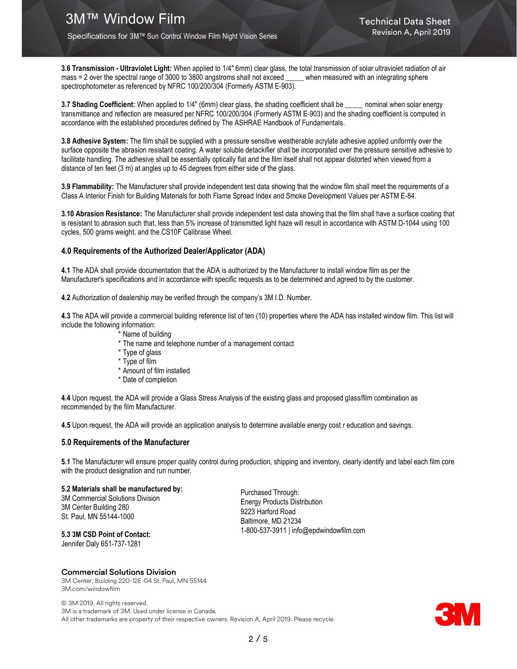3.6 Transmission - Ultraviolet Light: When applied to 1/4" 6mm) clear glass, the total transmission of solar ultraviolet radiation of air mass = 2 over the spectral range of 3000 to 3800 angstroms shall not exceed \_\_\_\_\_ when measured with an integrating sphere spectrophotometer as referenced by NFRC 100/200/304 (Formerly ASTM E-903).

3.7 Shading Coefficient: When applied to 1/4" (6mm) clear glass, the shading coefficient shall be \_\_\_\_\_ nominal when solar energy transmittance and reflection are measured per NFRC 100/200/304 (Formerly ASTM E-903) and the shading coefficient is computed in accordance with the established procedures defined by The ASHRAE Handbook of Fundamentals.

3.8 Adhesive System: The film shall be supplied with a pressure sensitive weatherable acrylate adhesive applied uniformly over the surface opposite the abrasion resistant coating. A water soluble detackifier shall be incorporated over the pressure sensitive adhesive to facilitate handling. The adhesive shall be essentially optically flat and the film itself shall not appear distorted when viewed from a distance of ten feet (3 m) at angles up to 45 degrees from either side of the glass.

3.9 Flammability: The Manufacturer shall provide independent test data showing that the window film shall meet the requirements of a Class A Interior Finish for Building Materials for both Flame Spread Index and Smoke Development Values per ASTM E-84.

3.10 Abrasion Resistance: The Manufacturer shall provide independent test data showing that the film shall have a surface coating that is resistant to abrasion such that, less than 5% increase of transmitted light haze will result in accordance with ASTM D-1044 using 100 cycles, 500 grams weight, and the CS10F Calibrase Wheel.

#### 4.0 Requirements of the Authorized Dealer/Applicator (ADA)

4.1 The ADA shall provide documentation that the ADA is authorized by the Manufacturer to install window film as per the Manufacturer's specifications and in accordance with specific requests as to be determined and agreed to by the customer.

4.2 Authorization of dealership may be verified through the company's 3M I.D. Number.

4.3 The ADA will provide a commercial building reference list of ten (10) properties where the ADA has installed window film. This list will include the following information:

- \* Name of building
- \* The name and telephone number of a management contact
- \* Type of glass
- \* Type of film
- \* Amount of film installed
- \* Date of completion

4.4 Upon request, the ADA will provide a Glass Stress Analysis of the existing glass and proposed glass/film combination as recommended by the film Manufacturer.

4.5 Upon request, the ADA will provide an application analysis to determine available energy cost r education and savings.

#### 5.0 Requirements of the Manufacturer

5.1 The Manufacturer will ensure proper quality control during production, shipping and inventory, clearly identify and label each film core with the product designation and run number.

5.2 Materials shall be manufactured by: 3M Commercial Solutions Division

3M Center Building 280 St. Paul, MN 55144-1000 Purchased Through: Energy Products Distribution 9223 Harford Road Baltimore, MD 21234 1-800-537-3911 | info@epdwindowfilm.com

#### 5.3 3M CSD Point of Contact: Jennifer Daly 651-737-1281

Commercial Solutions Division

3M Center, Building 220-12E-04 St. Paul, MN 55144 3M.com/windowfilm

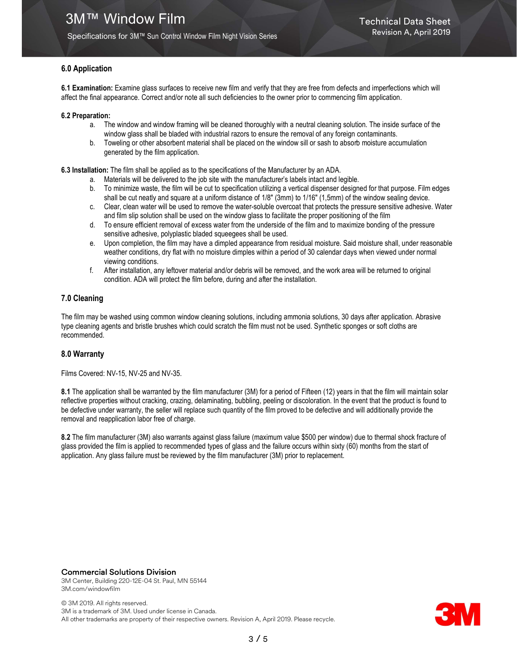#### 6.0 Application

6.1 Examination: Examine glass surfaces to receive new film and verify that they are free from defects and imperfections which will affect the final appearance. Correct and/or note all such deficiencies to the owner prior to commencing film application.

#### 6.2 Preparation:

- a. The window and window framing will be cleaned thoroughly with a neutral cleaning solution. The inside surface of the window glass shall be bladed with industrial razors to ensure the removal of any foreign contaminants.
- b. Toweling or other absorbent material shall be placed on the window sill or sash to absorb moisture accumulation generated by the film application.

6.3 Installation: The film shall be applied as to the specifications of the Manufacturer by an ADA.

- a. Materials will be delivered to the job site with the manufacturer's labels intact and legible.
- b. To minimize waste, the film will be cut to specification utilizing a vertical dispenser designed for that purpose. Film edges shall be cut neatly and square at a uniform distance of 1/8" (3mm) to 1/16" (1,5mm) of the window sealing device.
- c. Clear, clean water will be used to remove the water-soluble overcoat that protects the pressure sensitive adhesive. Water and film slip solution shall be used on the window glass to facilitate the proper positioning of the film
- d. To ensure efficient removal of excess water from the underside of the film and to maximize bonding of the pressure sensitive adhesive, polyplastic bladed squeegees shall be used.
- e. Upon completion, the film may have a dimpled appearance from residual moisture. Said moisture shall, under reasonable weather conditions, dry flat with no moisture dimples within a period of 30 calendar days when viewed under normal viewing conditions.
- f. After installation, any leftover material and/or debris will be removed, and the work area will be returned to original condition. ADA will protect the film before, during and after the installation.

#### 7.0 Cleaning

The film may be washed using common window cleaning solutions, including ammonia solutions, 30 days after application. Abrasive type cleaning agents and bristle brushes which could scratch the film must not be used. Synthetic sponges or soft cloths are recommended.

#### 8.0 Warranty

Films Covered: NV-15, NV-25 and NV-35.

8.1 The application shall be warranted by the film manufacturer (3M) for a period of Fifteen (12) years in that the film will maintain solar reflective properties without cracking, crazing, delaminating, bubbling, peeling or discoloration. In the event that the product is found to be defective under warranty, the seller will replace such quantity of the film proved to be defective and will additionally provide the removal and reapplication labor free of charge.

8.2 The film manufacturer (3M) also warrants against glass failure (maximum value \$500 per window) due to thermal shock fracture of glass provided the film is applied to recommended types of glass and the failure occurs within sixty (60) months from the start of application. Any glass failure must be reviewed by the film manufacturer (3M) prior to replacement.

#### Commercial Solutions Division

3M Center, Building 220-12E-04 St. Paul, MN 55144 3M.com/windowfilm

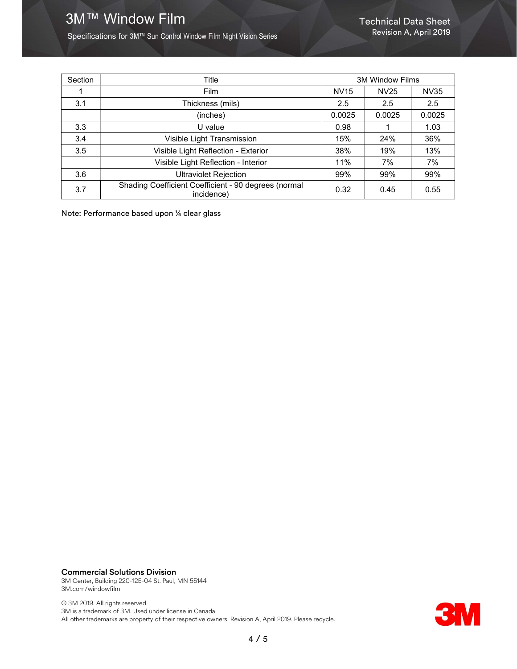# 3M™ Window Film Technical Data Sheet

Specifications for 3M™ Sun Control Window Film Night Vision Series

| Section | Title                                                              | <b>3M Window Films</b> |                  |             |
|---------|--------------------------------------------------------------------|------------------------|------------------|-------------|
|         | Film                                                               | <b>NV15</b>            | NV <sub>25</sub> | <b>NV35</b> |
| 3.1     | Thickness (mils)                                                   | 2.5                    | 2.5              | 2.5         |
|         | (inches)                                                           | 0.0025                 | 0.0025           | 0.0025      |
| 3.3     | U value                                                            | 0.98                   |                  | 1.03        |
| 3.4     | Visible Light Transmission                                         | 15%                    | 24%              | 36%         |
| 3.5     | Visible Light Reflection - Exterior                                | 38%                    | 19%              | 13%         |
|         | Visible Light Reflection - Interior                                | 11%                    | 7%               | 7%          |
| 3.6     | <b>Ultraviolet Rejection</b>                                       | 99%                    | 99%              | 99%         |
| 3.7     | Shading Coefficient Coefficient - 90 degrees (normal<br>incidence) | 0.32                   | 0.45             | 0.55        |

Note: Performance based upon ¼ clear glass

## Commercial Solutions Division

3M Center, Building 220-12E-04 St. Paul, MN 55144 3M.com/windowfilm